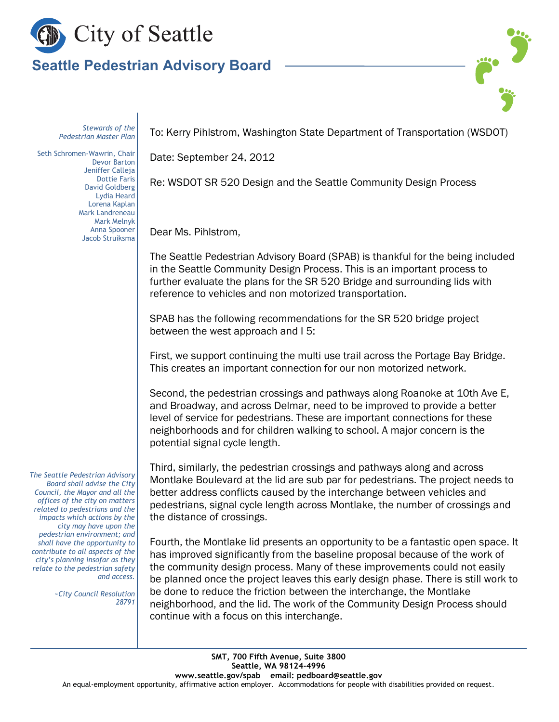

## **Seattle Pedestrian Advisory Board**

*Stewards of the Pedestrian Master Plan*

Seth Schromen-Wawrin, Chair Devor Barton Jeniffer Calleja Dottie Faris David Goldberg Lydia Heard Lorena Kaplan Mark Landreneau Mark Melnyk Anna Spooner Jacob Struiksma

To: Kerry Pihlstrom, Washington State Department of Transportation (WSDOT)

Date: September 24, 2012

Re: WSDOT SR 520 Design and the Seattle Community Design Process

Dear Ms. Pihlstrom,

The Seattle Pedestrian Advisory Board (SPAB) is thankful for the being included in the Seattle Community Design Process. This is an important process to further evaluate the plans for the SR 520 Bridge and surrounding lids with reference to vehicles and non motorized transportation.

SPAB has the following recommendations for the SR 520 bridge project between the west approach and I 5:

First, we support continuing the multi use trail across the Portage Bay Bridge. This creates an important connection for our non motorized network.

Second, the pedestrian crossings and pathways along Roanoke at 10th Ave E, and Broadway, and across Delmar, need to be improved to provide a better level of service for pedestrians. These are important connections for these neighborhoods and for children walking to school. A major concern is the potential signal cycle length.

Third, similarly, the pedestrian crossings and pathways along and across Montlake Boulevard at the lid are sub par for pedestrians. The project needs to better address conflicts caused by the interchange between vehicles and pedestrians, signal cycle length across Montlake, the number of crossings and the distance of crossings.

Fourth, the Montlake lid presents an opportunity to be a fantastic open space. It has improved significantly from the baseline proposal because of the work of the community design process. Many of these improvements could not easily be planned once the project leaves this early design phase. There is still work to be done to reduce the friction between the interchange, the Montlake neighborhood, and the lid. The work of the Community Design Process should continue with a focus on this interchange.

*The Seattle Pedestrian Advisory Board shall advise the City Council, the Mayor and all the offices of the city on matters related to pedestrians and the impacts which actions by the city may have upon the pedestrian environment; and shall have the opportunity to contribute to all aspects of the city's planning insofar as they relate to the pedestrian safety and access.*

> *~City Council Resolution 28791*